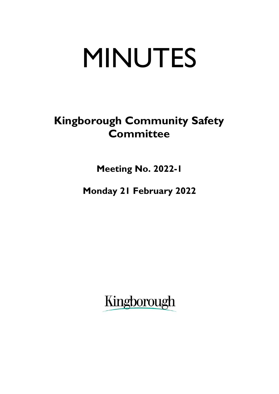# MINUTES

## **Kingborough Community Safety Committee**

**Meeting No. 2022-1**

**Monday 21 February 2022**

Kingborough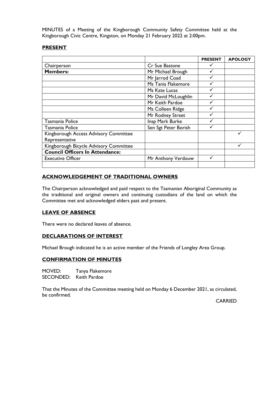MINUTES of a Meeting of the Kingborough Community Safety Committee held at the Kingborough Civic Centre, Kingston, on Monday 21 February 2022 at 2:00pm.

#### **PRESENT**

|                                        |                      | <b>PRESENT</b> | <b>APOLOGY</b> |
|----------------------------------------|----------------------|----------------|----------------|
| Chairperson                            | Cr Sue Bastone       |                |                |
| <b>Members:</b>                        | Mr Michael Brough    |                |                |
|                                        | Mr Jarrod Coad       |                |                |
|                                        | Ms Tania Flakemore   |                |                |
|                                        | Ms Kate Lucas        |                |                |
|                                        | Mr David McLoughlin  |                |                |
|                                        | Mr Keith Pardoe      |                |                |
|                                        | Ms Colleen Ridge     |                |                |
|                                        | Mr Rodney Street     |                |                |
| Tasmania Police                        | Insp Mark Burke      |                |                |
| Tasmania Police                        | Sen Sgt Peter Borish |                |                |
| Kingborough Access Advisory Committee  |                      |                |                |
| Representative                         |                      |                |                |
| Kingborough Bicycle Advisory Committee |                      |                |                |
| <b>Council Officers In Attendance:</b> |                      |                |                |
| <b>Executive Officer</b>               | Mr Anthony Verdouw   |                |                |
|                                        |                      |                |                |

#### **ACKNOWLEDGEMENT OF TRADITIONAL OWNERS**

The Chairperson acknowledged and paid respect to the Tasmanian Aboriginal Community as the traditional and original owners and continuing custodians of the land on which the Committee met and acknowledged elders past and present.

#### **LEAVE OF ABSENCE**

There were no declared leaves of absence.

#### **DECLARATIONS OF INTEREST**

Michael Brough indicated he is an active member of the Friends of Longley Area Group.

#### **CONFIRMATION OF MINUTES**

MOVED: Tanya Flakemore SECONDED: Keith Pardoe

That the Minutes of the Committee meeting held on Monday 6 December 2021, as circulated, be confirmed.

CARRIED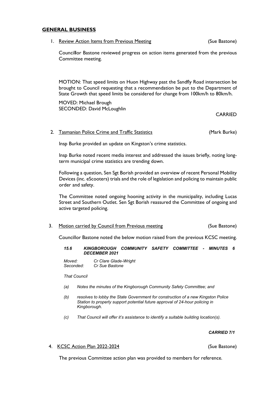#### **GENERAL BUSINESS**

1. Review Action Items from Previous Meeting Theorem (Sue Bastone)

Council**l**or Bastone reviewed progress on action items generated from the previous Committee meeting.

MOTION: That speed limits on Huon Highway past the Sandfly Road intersection be brought to Council requesting that a recommendation be put to the Department of State Growth that speed limits be considered for change from 100km/h to 80km/h.

MOVED: Michael Brough SECONDED: David McLoughlin

**CARRIED** 

#### 2. Tasmanian Police Crime and Traffic Statistics **Canadian Constructs** (Mark Burke)

Insp Burke provided an update on Kingston's crime statistics.

Insp Burke noted recent media interest and addressed the issues briefly, noting longterm municipal crime statistics are trending down.

Following a question, Sen Sgt Borish provided an overview of recent Personal Mobility Devices (inc. eScooters) trials and the role of legislation and policing to maintain public order and safety.

The Committee noted ongoing hooning activity in the municipality, including Lucas Street and Southern Outlet. Sen Sgt Borish reassured the Committee of ongoing and active targeted policing.

3. Motion carried by Council from Previous meeting (Sue Bastone)

Councillor Bastone noted the below motion raised from the previous KCSC meeting.

#### *15.6 KINGBOROUGH COMMUNITY SAFETY COMMITTEE - MINUTES 6 DECEMBER 2021*

*Moved: Cr Clare Glade-Wright Seconded: Cr Sue Bastone*

*That Council*

- *(a) Notes the minutes of the Kingborough Community Safety Committee; and*
- *(b) resolves to lobby the State Government for construction of a new Kingston Police Station to properly support potential future approval of 24-hour policing in Kingborough.*
- *(c) That Council will offer it's assistance to identify a suitable building location(s).*

#### *CARRIED 7/1*

4. KCSC Action Plan 2022-2024 (Sue Bastone)

The previous Committee action plan was provided to members for reference.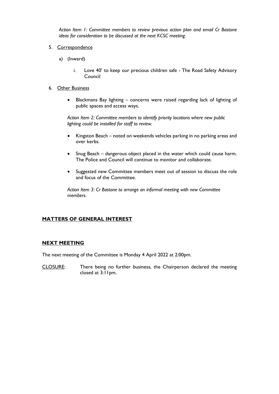*Action Item 1: Committee members to review previous action plan and email Cr Bastone ideas for consideration to be discussed at the next KCSC meeting.*

- 5. Correspondence
	- a) (Inward)
		- i. Love 40' to keep our precious children safe The Road Safety Advisory Council
- 6. Other Business
	- Blackmans Bay lighting concerns were raised regarding lack of lighting of public spaces and access ways.

*Action Item 2: Committee members to identify priority locations where new public lighting could be installed for staff to review.*

- Kingston Beach noted on weekends vehicles parking in no parking areas and over kerbs.
- Snug Beach dangerous object placed in the water which could cause harm. The Police and Council will continue to monitor and collaborate.
- Suggested new Committee members meet out of session to discuss the role and focus of the Committee.

*Action Item 3: Cr Bastone to arrange an informal meeting with new Committee members.*

#### **MATTERS OF GENERAL INTEREST**

#### **NEXT MEETING**

The next meeting of the Committee is Monday 4 April 2022 at 2:00pm.

CLOSURE: There being no further business, the Chairperson declared the meeting closed at 3:11pm.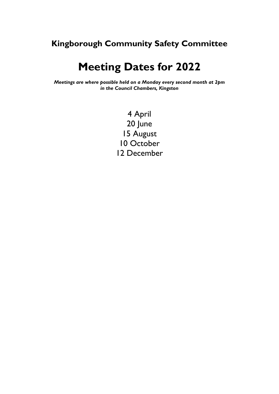### **Kingborough Community Safety Committee**

## **Meeting Dates for 2022**

*Meetings are where possible held on a Monday every second month at 2pm in the Council Chambers, Kingston*

> 4 April 20 June 15 August 10 October 12 December